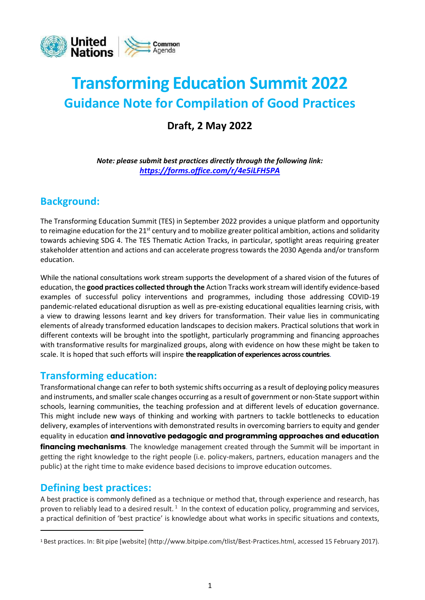

# **Transforming Education Summit 2022 Guidance Note for Compilation of Good Practices**

**Draft, 2 May 2022**

*Note: please submit best practices directly through the following link: <https://forms.office.com/r/4e5iLFH5PA>*

#### **Background:**

The Transforming Education Summit (TES) in September 2022 provides a unique platform and opportunity to reimagine education for the 21<sup>st</sup> century and to mobilize greater political ambition, actions and solidarity towards achieving SDG 4. The TES Thematic Action Tracks, in particular, spotlight areas requiring greater stakeholder attention and actions and can accelerate progress towards the 2030 Agenda and/or transform education.

While the national consultations work stream supports the development of a shared vision of the futures of education, the **good practices collected through the** Action Tracks work stream will identify evidence-based examples of successful policy interventions and programmes, including those addressing COVID-19 pandemic-related educational disruption as well as pre-existing educational equalities learning crisis, with a view to drawing lessons learnt and key drivers for transformation. Their value lies in communicating elements of already transformed education landscapes to decision makers. Practical solutions that work in different contexts will be brought into the spotlight, particularly programming and financing approaches with transformative results for marginalized groups, along with evidence on how these might be taken to scale. It is hoped that such efforts will inspire **the reapplication of experiences across countries**.

#### **Transforming education:**

Transformational change can refer to both systemic shifts occurring as a result of deploying policy measures and instruments, and smaller scale changes occurring as a result of government or non-State support within schools, learning communities, the teaching profession and at different levels of education governance. This might include new ways of thinking and working with partners to tackle bottlenecks to education delivery, examples of interventions with demonstrated results in overcoming barriers to equity and gender equality in education **and innovative pedagogic and programming approaches and education financing mechanisms**. The knowledge management created through the Summit will be important in getting the right knowledge to the right people (i.e. policy-makers, partners, education managers and the public) at the right time to make evidence based decisions to improve education outcomes.

#### **Defining best practices:**

A best practice is commonly defined as a technique or method that, through experience and research, has proven to reliably lead to a desired result.  $^1$  In the context of education policy, programming and services, a practical definition of 'best practice' is knowledge about what works in specific situations and contexts,

<sup>1</sup> Best practices. In: Bit pipe [website] [\(http://www.bitpipe.com/tlist/Best-Practices.html,](about:blank) accessed 15 February 2017).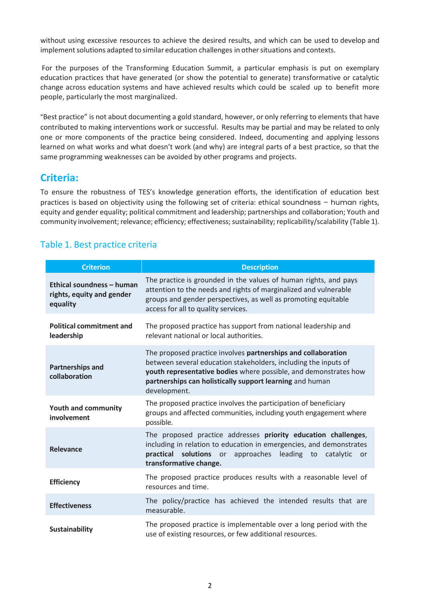without using excessive resources to achieve the desired results, and which can be used to develop and implement solutions adapted to similar education challenges in other situations and contexts.

For the purposes of the Transforming Education Summit, a particular emphasis is put on exemplary education practices that have generated (or show the potential to generate) transformative or catalytic change across education systems and have achieved results which could be scaled up to benefit more people, particularly the most marginalized.

"Best practice" is not about documenting a gold standard, however, or only referring to elements that have contributed to making interventions work or successful. Results may be partial and may be related to only one or more components of the practice being considered. Indeed, documenting and applying lessons learned on what works and what doesn't work (and why) are integral parts of a best practice, so that the same programming weaknesses can be avoided by other programs and projects.

#### **Criteria:**

To ensure the robustness of TES's knowledge generation efforts, the identification of education best practices is based on objectivity using the following set of criteria: ethical soundness – human rights, equity and gender equality; political commitment and leadership; partnerships and collaboration; Youth and community involvement; relevance; efficiency; effectiveness; sustainability; replicability/scalability (Table 1).

#### Table 1. Best practice criteria

| <b>Criterion</b>                                                   | <b>Description</b>                                                                                                                                                                                                                                                               |
|--------------------------------------------------------------------|----------------------------------------------------------------------------------------------------------------------------------------------------------------------------------------------------------------------------------------------------------------------------------|
| Ethical soundness - human<br>rights, equity and gender<br>equality | The practice is grounded in the values of human rights, and pays<br>attention to the needs and rights of marginalized and vulnerable<br>groups and gender perspectives, as well as promoting equitable<br>access for all to quality services.                                    |
| <b>Political commitment and</b><br>leadership                      | The proposed practice has support from national leadership and<br>relevant national or local authorities.                                                                                                                                                                        |
| <b>Partnerships and</b><br>collaboration                           | The proposed practice involves partnerships and collaboration<br>between several education stakeholders, including the inputs of<br>youth representative bodies where possible, and demonstrates how<br>partnerships can holistically support learning and human<br>development. |
| <b>Youth and community</b><br>involvement                          | The proposed practice involves the participation of beneficiary<br>groups and affected communities, including youth engagement where<br>possible.                                                                                                                                |
| <b>Relevance</b>                                                   | The proposed practice addresses priority education challenges,<br>including in relation to education in emergencies, and demonstrates<br>solutions or approaches<br>practical<br>leading to<br>catalytic<br>or<br>transformative change.                                         |
| <b>Efficiency</b>                                                  | The proposed practice produces results with a reasonable level of<br>resources and time.                                                                                                                                                                                         |
| <b>Effectiveness</b>                                               | The policy/practice has achieved the intended results that are<br>measurable.                                                                                                                                                                                                    |
| <b>Sustainability</b>                                              | The proposed practice is implementable over a long period with the<br>use of existing resources, or few additional resources.                                                                                                                                                    |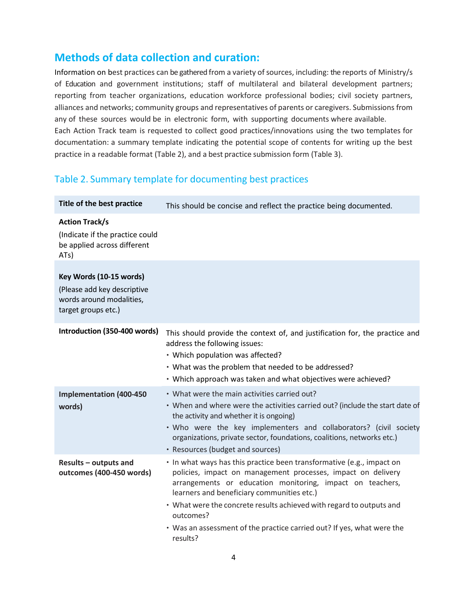#### **Methods of data collection and curation:**

Information on best practices can be gathered from a variety of sources, including: the reports of Ministry/s of Education and government institutions; staff of multilateral and bilateral development partners; reporting from teacher organizations, education workforce professional bodies; civil society partners, alliances and networks; community groups and representatives of parents or caregivers. Submissions from any of these sources would be in electronic form, with supporting documents where available. Each Action Track team is requested to collect good practices/innovations using the two templates for documentation: a summary template indicating the potential scope of contents for writing up the best practice in a readable format (Table 2), and a best practice submission form (Table 3).

#### Table 2. Summary template for documenting best practices

| Title of the best practice                                                                                | This should be concise and reflect the practice being documented.                                                                                                                                                                                                                                                                                                                                                           |
|-----------------------------------------------------------------------------------------------------------|-----------------------------------------------------------------------------------------------------------------------------------------------------------------------------------------------------------------------------------------------------------------------------------------------------------------------------------------------------------------------------------------------------------------------------|
| <b>Action Track/s</b><br>(Indicate if the practice could<br>be applied across different<br>ATs)           |                                                                                                                                                                                                                                                                                                                                                                                                                             |
| Key Words (10-15 words)<br>(Please add key descriptive<br>words around modalities,<br>target groups etc.) |                                                                                                                                                                                                                                                                                                                                                                                                                             |
| Introduction (350-400 words)                                                                              | This should provide the context of, and justification for, the practice and<br>address the following issues:<br>• Which population was affected?<br>• What was the problem that needed to be addressed?<br>• Which approach was taken and what objectives were achieved?                                                                                                                                                    |
| <b>Implementation (400-450)</b><br>words)                                                                 | • What were the main activities carried out?<br>• When and where were the activities carried out? (include the start date of<br>the activity and whether it is ongoing)<br>. Who were the key implementers and collaborators? (civil society<br>organizations, private sector, foundations, coalitions, networks etc.)<br>• Resources (budget and sources)                                                                  |
| Results - outputs and<br>outcomes (400-450 words)                                                         | . In what ways has this practice been transformative (e.g., impact on<br>policies, impact on management processes, impact on delivery<br>arrangements or education monitoring, impact on teachers,<br>learners and beneficiary communities etc.)<br>• What were the concrete results achieved with regard to outputs and<br>outcomes?<br>• Was an assessment of the practice carried out? If yes, what were the<br>results? |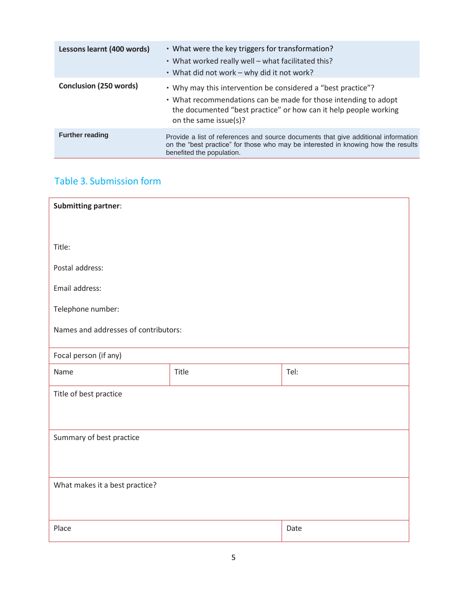| Lessons learnt (400 words)    | • What were the key triggers for transformation?<br>• What worked really well – what facilitated this?<br>• What did not work - why did it not work?                                                                         |
|-------------------------------|------------------------------------------------------------------------------------------------------------------------------------------------------------------------------------------------------------------------------|
| <b>Conclusion (250 words)</b> | • Why may this intervention be considered a "best practice"?<br>• What recommendations can be made for those intending to adopt<br>the documented "best practice" or how can it help people working<br>on the same issue(s)? |
| <b>Further reading</b>        | Provide a list of references and source documents that give additional information<br>on the "best practice" for those who may be interested in knowing how the results<br>benefited the population.                         |

#### Table 3. Submission form

| <b>Submitting partner:</b>           |       |      |  |
|--------------------------------------|-------|------|--|
| Title:                               |       |      |  |
| Postal address:                      |       |      |  |
| Email address:                       |       |      |  |
| Telephone number:                    |       |      |  |
| Names and addresses of contributors: |       |      |  |
| Focal person (if any)                |       |      |  |
| Name                                 | Title | Tel: |  |
| Title of best practice               |       |      |  |
|                                      |       |      |  |
| Summary of best practice             |       |      |  |
|                                      |       |      |  |
| What makes it a best practice?       |       |      |  |
|                                      |       |      |  |
|                                      |       |      |  |